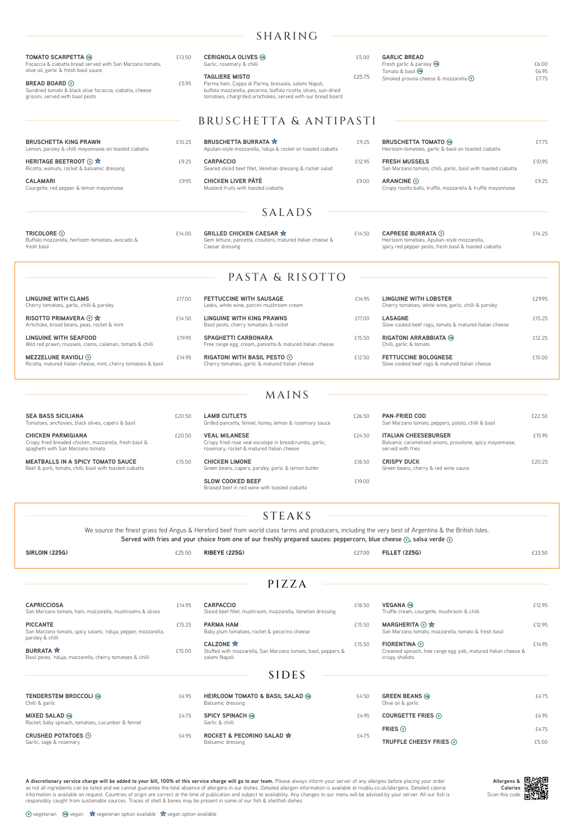**Allergens & Calories** Scan this code

 $\circled{v}$  vegetarian  $\circled{w}$  vegan  $\bullet$  vegetarian option available  $\circled{v}$  vegan option available

# SHARING

**BURRATA x** *E15.00* Basil pesto, 'nduja, mozzarella, cherry tomatoes & chilli

- CARPACCIO **E18.50** Sliced beef fillet, mushroom, mozzarella, Venetian dressing
- **PARMA HAM**  $£15.50$ Baby plum tomatoes, rocket & pecorino cheese
- **CALZONE**  $\hat{\mathbf{x}}$  **E15.50** Stuffed with mozzarella, San Marzano tomato, basil, peppers & salami Napoli

# SIDES

| <b>TOMATO SCARPETTA</b> <sup>69</sup><br>Focaccia & ciabatta bread served with San Marzano tomato,<br>olive oil, garlic & fresh basil sauce<br><b>BREAD BOARD ①</b><br>Sundried tomato & black olive focaccia, ciabatta, cheese<br>grissini, served with basil pesto |        | <b>CERIGNOLA OLIVES</b> <sup>(6)</sup><br>£13.50<br>Garlic, rosemary & chilli<br><b>TAGLIERE MISTO</b><br>£25.75<br>£5.95<br>Parma ham, Coppa di Parma, bresaola, salami Napoli,<br>buffalo mozzarella, pecorino, buffalo ricotta, olives, sun-dried<br>tomatoes, chargrilled artichokes, served with our bread board |        | <b>GARLIC BREAD</b><br>Fresh garlic & parsley (6)                                                                                        |                |  |
|----------------------------------------------------------------------------------------------------------------------------------------------------------------------------------------------------------------------------------------------------------------------|--------|-----------------------------------------------------------------------------------------------------------------------------------------------------------------------------------------------------------------------------------------------------------------------------------------------------------------------|--------|------------------------------------------------------------------------------------------------------------------------------------------|----------------|--|
|                                                                                                                                                                                                                                                                      |        |                                                                                                                                                                                                                                                                                                                       |        | Tomato & basil (vg)<br>Smoked provola cheese & mozzarella $\mathbb O$                                                                    | £6.95<br>£7.75 |  |
|                                                                                                                                                                                                                                                                      |        | BRUSCHETTA & ANTIPASTI                                                                                                                                                                                                                                                                                                |        |                                                                                                                                          |                |  |
| <b>BRUSCHETTA KING PRAWN</b><br>Lemon, parsley & chilli mayonnaise on toasted ciabatta                                                                                                                                                                               | £10.25 | <b>BRUSCHETTA BURRATA X</b><br>Apulian-style mozzarella, 'nduja & rocket on toasted ciabatta                                                                                                                                                                                                                          | £9.25  | <b>BRUSCHETTA TOMATO @</b><br>Heirloom tomatoes, garlic & basil on toasted ciabatta                                                      | £7.75          |  |
| <b>HERITAGE BEETROOT ① ☆</b><br>Ricotta, walnuts, rocket & balsamic dressing                                                                                                                                                                                         | £9.25  | <b>CARPACCIO</b><br>Seared sliced beef fillet, Venetian dressing & rocket salad                                                                                                                                                                                                                                       | £12.95 | <b>FRESH MUSSELS</b><br>San Marzano tomato, chilli, garlic, basil with toasted ciabatta                                                  | £10.95         |  |
| <b>CALAMARI</b><br>Courgette, red pepper & lemon mayonnaise                                                                                                                                                                                                          | £9.95  | <b>CHICKEN LIVER PÂTÉ</b><br>Mustard fruits with toasted ciabatta                                                                                                                                                                                                                                                     | £9.00  | ARANCINE <b>O</b><br>Crispy risotto balls, truffle, mozzarella & truffle mayonnaise                                                      | £9.25          |  |
|                                                                                                                                                                                                                                                                      |        | SALADS                                                                                                                                                                                                                                                                                                                |        |                                                                                                                                          |                |  |
| TRICOLORE $\odot$<br>Buffalo mozzarella, heirloom tomatoes, avocado &<br>fresh basil                                                                                                                                                                                 | £14.00 | <b>GRILLED CHICKEN CAESAR X</b><br>Gem lettuce, pancetta, croutons, matured Italian cheese &<br>Caesar dressing                                                                                                                                                                                                       | £14.50 | CAPRESE BURRATA $\circledcirc$<br>Heirloom tomatoes, Apulian-style mozzarella,<br>spicy red pepper pesto, fresh basil & toasted ciabatta | £14.25         |  |
|                                                                                                                                                                                                                                                                      |        | PASTA & RISOTTO                                                                                                                                                                                                                                                                                                       |        |                                                                                                                                          |                |  |
| <b>LINGUINE WITH CLAMS</b><br>Cherry tomatoes, garlic, chilli & parsley                                                                                                                                                                                              | £17.00 | <b>FETTUCCINE WITH SAUSAGE</b><br>Leeks, white wine, porcini mushroom cream                                                                                                                                                                                                                                           | £14.95 | <b>LINGUINE WITH LOBSTER</b><br>Cherry tomatoes, white wine, garlic, chilli & parsley                                                    | £29.95         |  |
| RISOTTO PRIMAVERA ① ☆<br>Artichoke, broad beans, peas, rocket & mint                                                                                                                                                                                                 | £14.50 | <b>LINGUINE WITH KING PRAWNS</b><br>Basil pesto, cherry tomatoes & rocket                                                                                                                                                                                                                                             | £17.00 | <b>LASAGNE</b><br>Slow cooked beef ragù, tomato & matured Italian cheese                                                                 | £15.25         |  |
| <b>LINGUINE WITH SEAFOOD</b><br>Wild red prawn, mussels, clams, calamari, tomato & chilli                                                                                                                                                                            | £19.95 | <b>SPAGHETTI CARBONARA</b><br>Free range egg, cream, pancetta & matured Italian cheese                                                                                                                                                                                                                                | £15.50 | <b>RIGATONI ARRABBIATA @</b><br>Chilli, garlic & tomato                                                                                  | £12.25         |  |
| MEZZELUNE RAVIOLI $\odot$<br>Ricotta, matured Italian cheese, mint, cherry tomatoes & basil                                                                                                                                                                          | £14.95 | RIGATONI WITH BASIL PESTO $\circledcirc$<br>Cherry tomatoes, garlic & matured Italian cheese                                                                                                                                                                                                                          | £12.50 | <b>FETTUCCINE BOLOGNESE</b><br>Slow cooked beef ragù & matured Italian cheese                                                            | £15.00         |  |
|                                                                                                                                                                                                                                                                      |        | MAINS                                                                                                                                                                                                                                                                                                                 |        |                                                                                                                                          |                |  |
|                                                                                                                                                                                                                                                                      |        |                                                                                                                                                                                                                                                                                                                       |        |                                                                                                                                          |                |  |
| <b>SEA BASS SICILIANA</b><br>Tomatoes, anchovies, black olives, capers & basil                                                                                                                                                                                       | £20.50 | <b>LAMB CUTLETS</b><br>Grilled pancetta, fennel, honey, lemon & rosemary sauce                                                                                                                                                                                                                                        | £26.50 | <b>PAN-FRIED COD</b><br>San Marzano tomato, peppers, potato, chilli & basil                                                              | £22.50         |  |
| <b>CHICKEN PARMIGIANA</b><br>Crispy fried breaded chicken, mozzarella, fresh basil &<br>spaghetti with San Marzano tomato                                                                                                                                            | £20.50 | <b>VEAL MILANESE</b><br>Crispy fried rose veal escalope in breadcrumbs, garlic,<br>rosemary, rocket & matured Italian cheese                                                                                                                                                                                          | £24.50 | <b>ITALIAN CHEESEBURGER</b><br>Balsamic caramelised onions, provolone, spicy mayonnaise,<br>served with fries                            | £15.95         |  |
| <b>MEATBALLS IN A SPICY TOMATO SAUCE</b><br>Beef & pork, tomato, chilli, basil with toasted ciabatta                                                                                                                                                                 | £15.50 | <b>CHICKEN LIMONE</b><br>Green beans, capers, parsley, garlic & lemon butter                                                                                                                                                                                                                                          | £18.50 | <b>CRISPY DUCK</b><br>Green beans, cherry & red wine sauce                                                                               | £20.25         |  |
|                                                                                                                                                                                                                                                                      |        | <b>SLOW COOKED BEEF</b><br>Braised beef in red wine with toasted ciabatta                                                                                                                                                                                                                                             | £19.00 |                                                                                                                                          |                |  |

**CRUSHED POTATOES**  $\circledcirc$  64.95 Garlic, sage & rosemary

- TENDERSTEM BROCCOLI <sup>(6)</sup> E4.95 Balsamic dressing **SPICY SPINACH**  $@$ Garlic & chilli
	- **ROCKET & PECORINO SALAD**  $\mathbf{\hat{x}}$  **E4.75** Balsamic dressing

# PIZZA

| <b>CAPRICCIOSA</b>                                      | £14.95 |
|---------------------------------------------------------|--------|
| San Marzano tomato, ham. mozzarella, mushrooms & olives |        |

**PICCANTE** £15.25 San Marzano tomato, spicy salami, 'nduja, pepper, mozzarella, parsley & chilli

A discretionary service charge will be added to your bill, 100% of this service charge will go to our team. Please always inform your server of any allergies before placing your order as not all ingredients can be listed and we cannot guarantee the total absence of allergens in our dishes. Detailed allergen information is available at rivablu.co.uk/allergens. Detailed calorie information is available on request. Countries of origin are correct at the time of publication and subject to availability. Any changes to our menu will be advised by your server. All our fish is responsibly caught from sustainable sources. Traces of shell & bones may be present in some of our fish & shellfish dishes.

**VEGANA** £12.95

**MARGHERITA ⓒ ☆** 2009

**FIORENTINA**  $\odot$  **E14.95** 

Truffle cream, courgette, mushroom & chilli

San Marzano tomato, mozzarella, tomato & fresh basil

Creamed spinach, free range egg yolk, matured Italian cheese &

# STEAKS

We source the finest grass fed Angus & Hereford beef from world class farms and producers, including the very best of Argentina & the British Isles. Served with fries and your choice from one of our freshly prepared sauces: peppercorn, blue cheese  $\odot$ , salsa verde  $\odot$ 

## **SIRLOIN (225G)** £25.50 **RIBEYE (225G)** £27.00 **FILLET (225G)** £33.50

|       | crispy shallots                          |       |
|-------|------------------------------------------|-------|
|       |                                          |       |
| £4.50 | <b>GREEN BEANS</b><br>Olive oil & garlic | £4.75 |
| £4.95 | COURGETTE FRIES $\heartsuit$             | £4.95 |
|       | FRIES $\odot$                            | £4.75 |

Chilli & garlic **MIXED SALAD <sup>@</sup>**  $64.75$ Rocket, baby spinach, tomatoes, cucumber & fennel

| 5 I DES                           |  |
|-----------------------------------|--|
| HEIRLOOM TOMATO & BASIL SALAD (6) |  |
| Poleomic droccing                 |  |

| '5 | TRUFFLE CHEESY FRIES $\circledcirc$ | £5.00 |
|----|-------------------------------------|-------|
|    |                                     |       |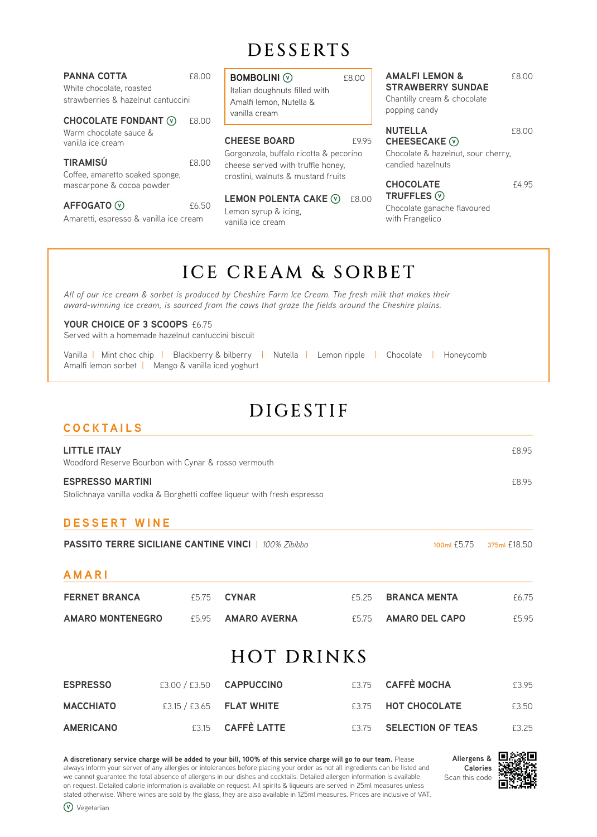# DESSERTS

| <b>PANNA COTTA</b><br>White chocolate, roasted<br>strawberries & hazelnut cantuccini<br><b>CHOCOLATE FONDANT (V)</b> | £8.00<br>£8.00 | <b>BOMBOLINI</b> <sup>(V)</sup><br>Italian doughnuts filled with<br>Amalfi lemon, Nutella &<br>vanilla cream      | £8.00 | <b>AMALFI LEMON &amp;</b><br><b>STRAWBERRY SUNDAE</b><br>Chantilly cream & chocolate<br>popping candy | £8.00 |
|----------------------------------------------------------------------------------------------------------------------|----------------|-------------------------------------------------------------------------------------------------------------------|-------|-------------------------------------------------------------------------------------------------------|-------|
| Warm chocolate sauce &<br>vanilla ice cream                                                                          |                | <b>CHEESE BOARD</b>                                                                                               | £9.95 | <b>NUTELLA</b><br>CHEESECAKE $\circledcirc$                                                           | £8.00 |
| <b>TIRAMISÚ</b><br>Coffee, amaretto soaked sponge,<br>mascarpone & cocoa powder                                      | £8.00          | Gorgonzola, buffalo ricotta & pecorino<br>cheese served with truffle honey.<br>crostini, walnuts & mustard fruits |       | Chocolate & hazelnut, sour cherry,<br>candied hazelnuts<br><b>CHOCOLATE</b>                           | £4.95 |
| <b>AFFOGATO</b> ⊙<br>Amaretti, espresso & vanilla ice cream                                                          | £6.50          | <b>LEMON POLENTA CAKE <math>\heartsuit</math></b><br>Lemon syrup & icing,<br>vanilla ice cream                    | £8.00 | TRUFFLES $\odot$<br>Chocolate ganache flavoured<br>with Frangelico                                    |       |
|                                                                                                                      |                |                                                                                                                   |       |                                                                                                       |       |

# ICE CREAM & SORBET

*All of our ice cream & sorbet is produced by Cheshire Farm Ice Cream. The fresh milk that makes their award-winning ice cream, is sourced from the cows that graze the fields around the Cheshire plains.*

## YOUR CHOICE OF 3 SCOOPS £6.75

Served with a homemade hazelnut cantuccini biscuit

| Vanilla   Mint choc chip   Blackberry & bilberry   Nutella   Lemon ripple   Chocolate   Honeycomb |  |  |  |  |  |
|---------------------------------------------------------------------------------------------------|--|--|--|--|--|
| Amalfi lemon sorbet   Mango & vanilla iced yoghurt                                                |  |  |  |  |  |

# DIGESTIF

| <b>COCKTAILS</b>                                                            |               |                                                                          |       |                          |              |
|-----------------------------------------------------------------------------|---------------|--------------------------------------------------------------------------|-------|--------------------------|--------------|
| <b>LITTLE ITALY</b><br>Woodford Reserve Bourbon with Cynar & rosso vermouth |               |                                                                          |       |                          | £8.95        |
| <b>ESPRESSO MARTINI</b>                                                     |               | Stolichnaya vanilla vodka & Borghetti coffee liqueur with fresh espresso |       |                          | £8.95        |
| <b>DESSERT WINE</b>                                                         |               |                                                                          |       |                          |              |
|                                                                             |               | <b>PASSITO TERRE SICILIANE CANTINE VINCL   100% Zibibbo</b>              |       | 100ml £5.75              | 375ml £18.50 |
| AMARI                                                                       |               |                                                                          |       |                          |              |
| <b>FERNET BRANCA</b>                                                        | £5.75         | <b>CYNAR</b>                                                             | £5.25 | <b>BRANCA MENTA</b>      | £6.75        |
| <b>AMARO MONTENEGRO</b><br>£5.95                                            |               | <b>AMARO AVERNA</b><br>£5.75                                             |       | <b>AMARO DEL CAPO</b>    | £5.95        |
|                                                                             |               | <b>HOT DRINKS</b>                                                        |       |                          |              |
| <b>ESPRESSO</b>                                                             | £3.00 / £3.50 | <b>CAPPUCCINO</b>                                                        | £3.75 | <b>CAFFÈ MOCHA</b>       | £3.95        |
| <b>MACCHIATO</b>                                                            | £3.15 / £3.65 | <b>FLAT WHITE</b>                                                        | £3.75 | <b>HOT CHOCOLATE</b>     | £3.50        |
| <b>AMERICANO</b>                                                            | £3.15         | <b>CAFFÈ LATTE</b>                                                       | £3.75 | <b>SELECTION OF TEAS</b> | £3.25        |

**A discretionary service charge will be added to your bill, 100% of this service charge will go to our team.** Please always inform your server of any allergies or intolerances before placing your order as not all ingredients can be listed and we cannot guarantee the total absence of allergens in our dishes and cocktails. Detailed allergen information is available on request. Detailed calorie information is available on request. All spirits & liqueurs are served in 25ml measures unless stated otherwise. Where wines are sold by the glass, they are also available in 125ml measures. Prices are inclusive of VAT.



Vegetarian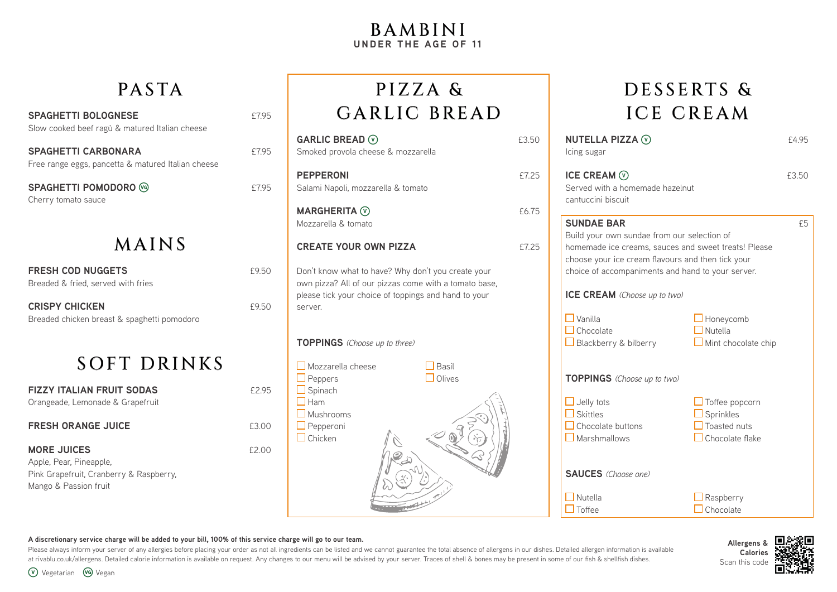# BAMBINI **UNDER THE AGE OF 11**

| <b>SPAGHETTI BOLOGNESE</b><br>Slow cooked beef ragù & matured Italian cheese     | f7.95 |
|----------------------------------------------------------------------------------|-------|
| <b>SPAGHETTI CARBONARA</b><br>Free range eggs, pancetta & matured Italian cheese | f7.95 |
| <b>SPAGHETTI POMODORO</b> (%)<br>Cherry tomato sauce                             | f7.95 |
| MAINS                                                                            |       |
| <b>FRESH COD NUGGETS</b><br>Breaded & fried, served with fries                   | £9.50 |

**CRISPY CHICKEN** 69.50 Breaded chicken breast & spaghetti pomodoro

# SOFT DRINKS

**FIZZY ITALIAN FRUIT SODAS** £2.95 Orangeade, Lemonade & Grapefruit

| <b>FRESH ORANGE JUICE</b>               | £3.00 |
|-----------------------------------------|-------|
| <b>MORE JUICES</b>                      | £2.00 |
| Apple, Pear, Pineapple,                 |       |
| Pink Grapefruit, Cranberry & Raspberry, |       |
| Mango & Passion fruit                   |       |

# PASTA PIZZA & DESSERTS & PIZZA & GARLIC BREAD

| GARLIC BREAD $\odot$<br>Smoked provola cheese & mozzarella                                                                                                                     | £3.50 |
|--------------------------------------------------------------------------------------------------------------------------------------------------------------------------------|-------|
| <b>PEPPERONI</b><br>Salami Napoli, mozzarella & tomato                                                                                                                         | £7.25 |
| <b>MARGHERITA</b> $\odot$<br>Mozzarella & tomato                                                                                                                               | £6.75 |
| <b>CREATE YOUR OWN PIZZA</b>                                                                                                                                                   | £7.25 |
| Don't know what to have? Why don't you create your<br>own pizza? All of our pizzas come with a tomato base,<br>please tick your choice of toppings and hand to your<br>server. |       |
| TOPPINGS (Choose up to three)                                                                                                                                                  |       |
| Mozzarella cheese<br>Basil<br>Olives<br>Peppers<br>Spinach<br>Ham<br>Mushrooms<br>Pepperoni<br>Chicken                                                                         |       |

# ICE CREAM

| C                      |                | NUTELLA PIZZA $\circledcirc$<br>Icing sugar                                                                                                                                                                                        |                                                                | £4.95 |  |  |  |  |
|------------------------|----------------|------------------------------------------------------------------------------------------------------------------------------------------------------------------------------------------------------------------------------------|----------------------------------------------------------------|-------|--|--|--|--|
| $\bar{c}$<br>$\bar{c}$ |                | ICE CREAM $\odot$<br>Served with a homemade hazelnut<br>cantuccini biscuit                                                                                                                                                         |                                                                | £3.50 |  |  |  |  |
| $\bar{c}$              |                | <b>SUNDAE BAR</b><br>Build your own sundae from our selection of<br>homemade ice creams, sauces and sweet treats! Please<br>choose your ice cream flavours and then tick your<br>choice of accompaniments and hand to your server. |                                                                |       |  |  |  |  |
|                        | $\Box$ Vanilla | <b>ICE CREAM</b> (Choose up to two)<br>$\Box$ Chocolate<br>$\Box$ Blackberry & bilberry                                                                                                                                            | Honeycomb<br>Nutella<br>$\Box$ Mint chocolate chip             |       |  |  |  |  |
|                        |                | TOPPINGS (Choose up to two)<br>$\Box$ Jelly tots<br>Skittles<br>Chocolate buttons<br>$\Box$ Marshmallows                                                                                                                           | Toffee popcorn<br>Sprinkles<br>Toasted nuts<br>Chocolate flake |       |  |  |  |  |
|                        |                | <b>SAUCES</b> (Choose one)                                                                                                                                                                                                         |                                                                |       |  |  |  |  |
|                        |                | Nutella<br>Toffee                                                                                                                                                                                                                  | Raspberry<br>Chocolate                                         |       |  |  |  |  |

## **A discretionary service charge will be added to your bill, 100% of this service charge will go to our team.**

Please always inform your server of any allergies before placing your order as not all ingredients can be listed and we cannot guarantee the total absence of allergens in our dishes. Detailed allergen information is availa at rivablu.co.uk/allergens. Detailed calorie information is available on request. Any changes to our menu will be advised by your server. Traces of shell & bones may be present in some of our fish & shellfish dishes.

**Allergens & Calories** Scan this code